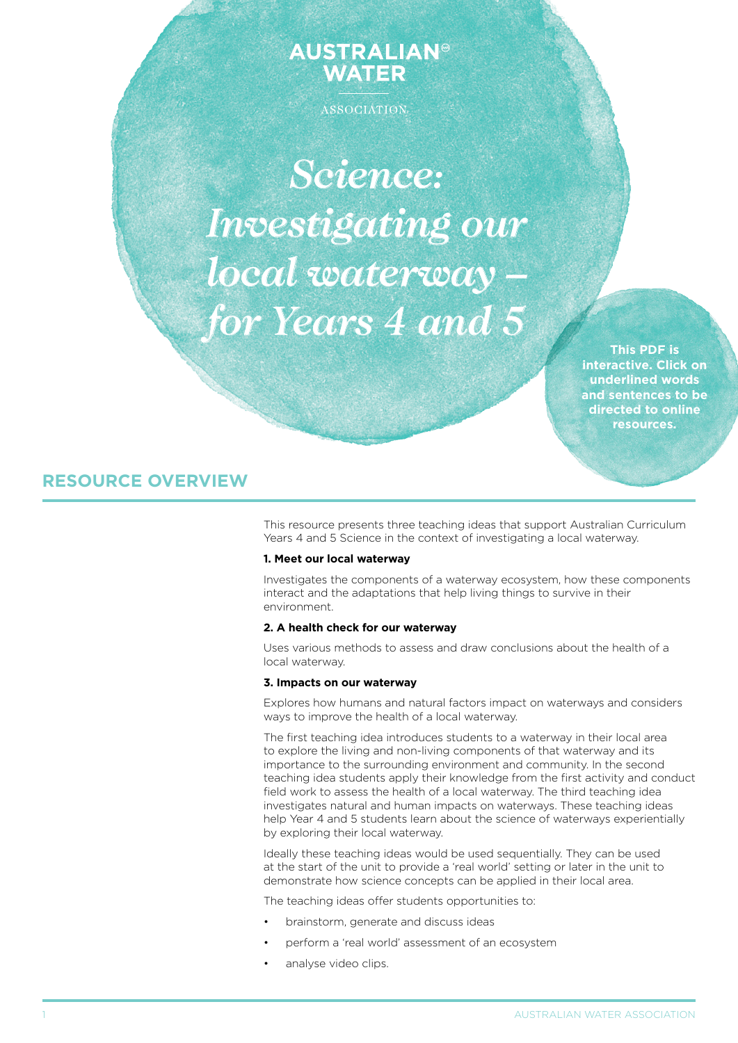# **AUSTRALIAN® WATER**

ASSOCIATION

*Science: Investigating our local waterway – for Years 4 and 5*

> **This PDF is interactive. Click on underlined words and sentences to be directed to online resources.**

# **RESOURCE OVERVIEW**

This resource presents three teaching ideas that support Australian Curriculum Years 4 and 5 Science in the context of investigating a local waterway.

# **1. Meet our local waterway**

Investigates the components of a waterway ecosystem, how these components interact and the adaptations that help living things to survive in their environment.

### **2. A health check for our waterway**

Uses various methods to assess and draw conclusions about the health of a local waterway.

### **3. Impacts on our waterway**

Explores how humans and natural factors impact on waterways and considers ways to improve the health of a local waterway.

The first teaching idea introduces students to a waterway in their local area to explore the living and non-living components of that waterway and its importance to the surrounding environment and community. In the second teaching idea students apply their knowledge from the first activity and conduct field work to assess the health of a local waterway. The third teaching idea investigates natural and human impacts on waterways. These teaching ideas help Year 4 and 5 students learn about the science of waterways experientially by exploring their local waterway.

Ideally these teaching ideas would be used sequentially. They can be used at the start of the unit to provide a 'real world' setting or later in the unit to demonstrate how science concepts can be applied in their local area.

The teaching ideas offer students opportunities to:

- brainstorm, generate and discuss ideas
- perform a 'real world' assessment of an ecosystem
- analyse video clips.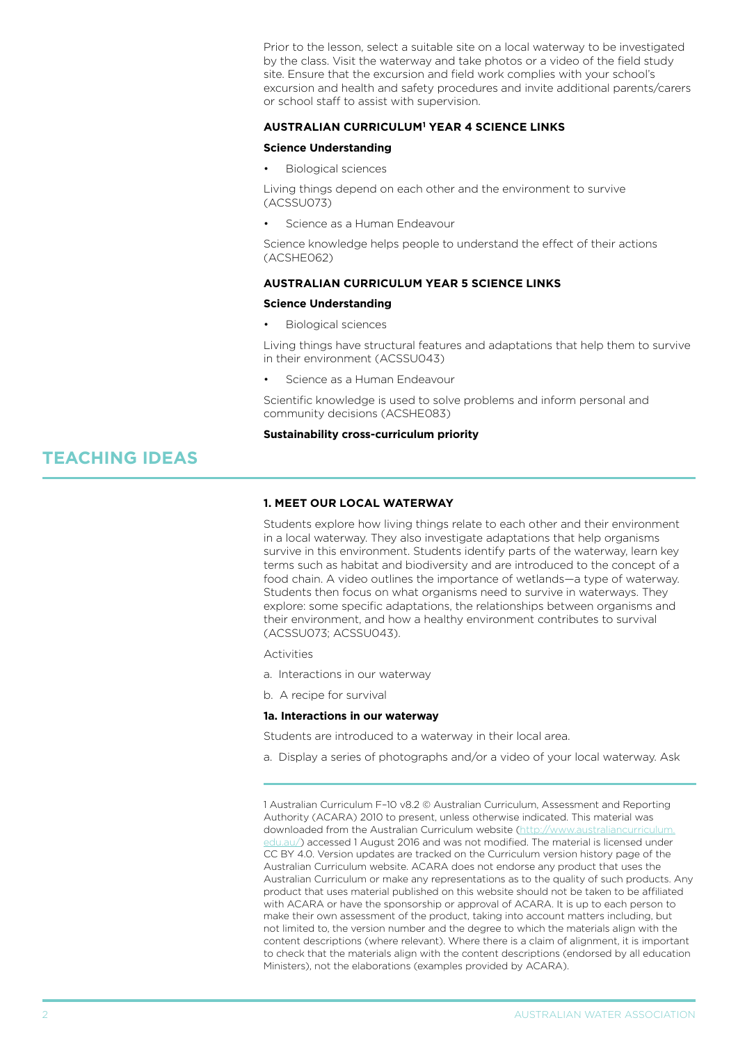Prior to the lesson, select a suitable site on a local waterway to be investigated by the class. Visit the waterway and take photos or a video of the field study site. Ensure that the excursion and field work complies with your school's excursion and health and safety procedures and invite additional parents/carers or school staff to assist with supervision.

# **AUStralian curriculum1 year 4 science links**

## **Science Understanding**

**Biological sciences** 

Living things depend on each other and the environment to survive (ACSSU073)

Science as a Human Endeavour

Science knowledge helps people to understand the effect of their actions (ACSHE062)

# **AUStralian curriculum year 5 science links**

# **Science Understanding Biological sciences**

Living things have structural features and adaptations that help them to survive in their environment (ACSSU043)

Science as a Human Endeavour

Scientific knowledge is used to solve problems and inform personal and community decisions (ACSHE083)

## **Sustainability cross-curriculum priority**

# **TEACHING IDEAS**

## **1. Meet our local waterway**

Students explore how living things relate to each other and their environment in a local waterway. They also investigate adaptations that help organisms survive in this environment. Students identify parts of the waterway, learn key terms such as habitat and biodiversity and are introduced to the concept of a food chain. A video outlines the importance of wetlands—a type of waterway. Students then focus on what organisms need to survive in waterways. They explore: some specific adaptations, the relationships between organisms and their environment, and how a healthy environment contributes to survival (ACSSU073; ACSSU043).

**Activities** 

a. Interactions in our waterway

b. A recipe for survival

### **1a. Interactions in our waterway**

Students are introduced to a waterway in their local area.

a. Display a series of photographs and/or a video of your local waterway. Ask

1 Australian Curriculum F–10 v8.2 © Australian Curriculum, Assessment and Reporting Authority (ACARA) 2010 to present, unless otherwise indicated. This material was downloaded from the Australian Curriculum website ([http://www.australiancurriculum.](http://www.australiancurriculum.edu.au/) [edu.au/](http://www.australiancurriculum.edu.au/)) accessed 1 August 2016 and was not modified. The material is licensed under CC BY 4.0. Version updates are tracked on the Curriculum version history page of the Australian Curriculum website. ACARA does not endorse any product that uses the Australian Curriculum or make any representations as to the quality of such products. Any product that uses material published on this website should not be taken to be affiliated with ACARA or have the sponsorship or approval of ACARA. It is up to each person to make their own assessment of the product, taking into account matters including, but not limited to, the version number and the degree to which the materials align with the content descriptions (where relevant). Where there is a claim of alignment, it is important to check that the materials align with the content descriptions (endorsed by all education Ministers), not the elaborations (examples provided by ACARA).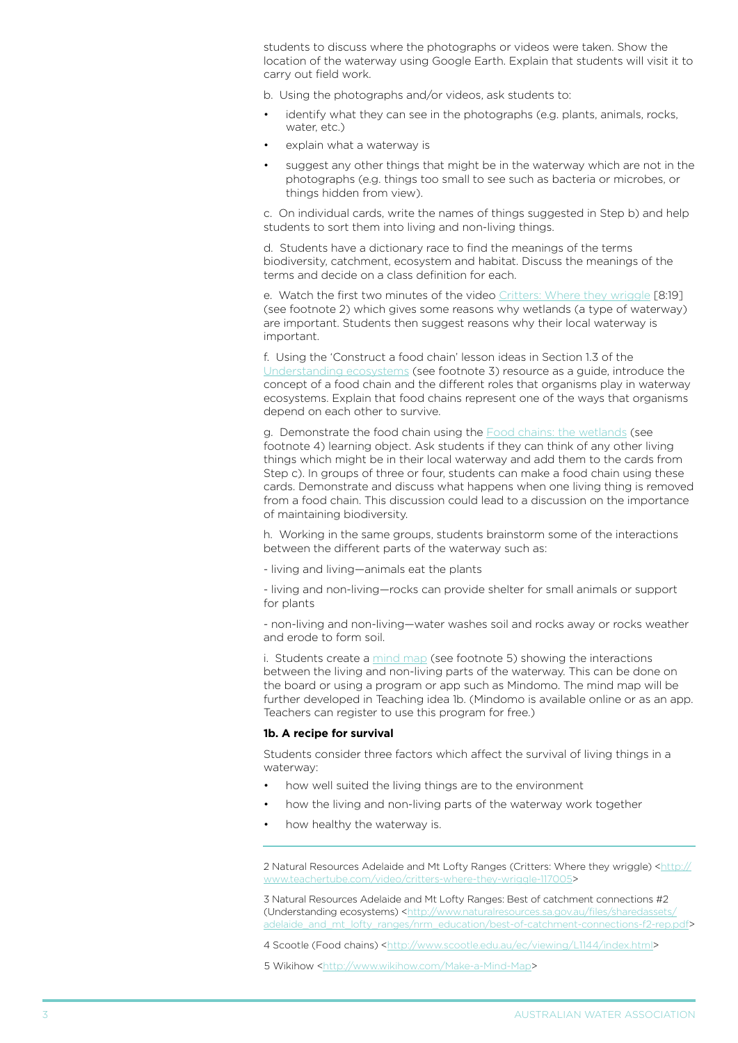students to discuss where the photographs or videos were taken. Show the location of the waterway using Google Earth. Explain that students will visit it to carry out field work.

b. Using the photographs and/or videos, ask students to:

- identify what they can see in the photographs (e.g. plants, animals, rocks, water, etc.)
- explain what a waterway is
- suggest any other things that might be in the waterway which are not in the photographs (e.g. things too small to see such as bacteria or microbes, or things hidden from view).

c. On individual cards, write the names of things suggested in Step b) and help students to sort them into living and non-living things.

d. Students have a dictionary race to find the meanings of the terms biodiversity, catchment, ecosystem and habitat. Discuss the meanings of the terms and decide on a class definition for each.

e. Watch the first two minutes of the video [Critters: Where they wriggle](http://www.teachertube.com/video/critters-where-they-wriggle-117005) [8:19] (see footnote 2) which gives some reasons why wetlands (a type of waterway) are important. Students then suggest reasons why their local waterway is important.

f. Using the 'Construct a food chain' lesson ideas in Section 1.3 of the [Understanding ecosystems](http://www.naturalresources.sa.gov.au/files/sharedassets/adelaide_and_mt_lofty_ranges/nrm_education/best-of-catchment-connections-f2-rep.pdf) (see footnote 3) resource as a guide, introduce the concept of a food chain and the different roles that organisms play in waterway ecosystems. Explain that food chains represent one of the ways that organisms depend on each other to survive.

g. Demonstrate the food chain using the [Food chains: the wetlands](http://www.scootle.edu.au/ec/viewing/L1144/index.html) (see footnote 4) learning object. Ask students if they can think of any other living things which might be in their local waterway and add them to the cards from Step c). In groups of three or four, students can make a food chain using these cards. Demonstrate and discuss what happens when one living thing is removed from a food chain. This discussion could lead to a discussion on the importance of maintaining biodiversity.

h. Working in the same groups, students brainstorm some of the interactions between the different parts of the waterway such as:

- living and living—animals eat the plants

- living and non-living—rocks can provide shelter for small animals or support for plants

- non-living and non-living—water washes soil and rocks away or rocks weather and erode to form soil.

i. Students create a [mind map](http://www.wikihow.com/Make-a-Mind-Map) (see footnote 5) showing the interactions between the living and non-living parts of the waterway. This can be done on the board or using a program or app such as Mindomo. The mind map will be further developed in Teaching idea 1b. (Mindomo is available online or as an app. Teachers can register to use this program for free.)

### **1b. A recipe for survival**

Students consider three factors which affect the survival of living things in a waterway:

- how well suited the living things are to the environment
- how the living and non-living parts of the waterway work together
- how healthy the waterway is.

2 Natural Resources Adelaide and Mt Lofty Ranges (Critters: Where they wriggle) [<http://](http://www.teachertube.com/video/critters-where-they-wriggle-117005) [www.teachertube.com/video/critters-where-they-wriggle-117005>](http://www.teachertube.com/video/critters-where-they-wriggle-117005)

3 Natural Resources Adelaide and Mt Lofty Ranges: Best of catchment connections #2 (Understanding ecosystems) <[http://www.naturalresources.sa.gov.au/files/sharedassets/](http://www.naturalresources.sa.gov.au/files/sharedassets/adelaide_and_mt_lofty_ranges/nrm_education/best-of-catchment-connections-f2-rep.pdf) [adelaide\\_and\\_mt\\_lofty\\_ranges/nrm\\_education/best-of-catchment-connections-f2-rep.pdf>](http://www.naturalresources.sa.gov.au/files/sharedassets/adelaide_and_mt_lofty_ranges/nrm_education/best-of-catchment-connections-f2-rep.pdf)

4 Scootle (Food chains) [<http://www.scootle.edu.au/ec/viewing/L1144/index.html>](http://www.scootle.edu.au/ec/viewing/L1144/index.html)

5 Wikihow <[http://www.wikihow.com/Make-a-Mind-Map>](http://www.wikihow.com/Make-a-Mind-Map)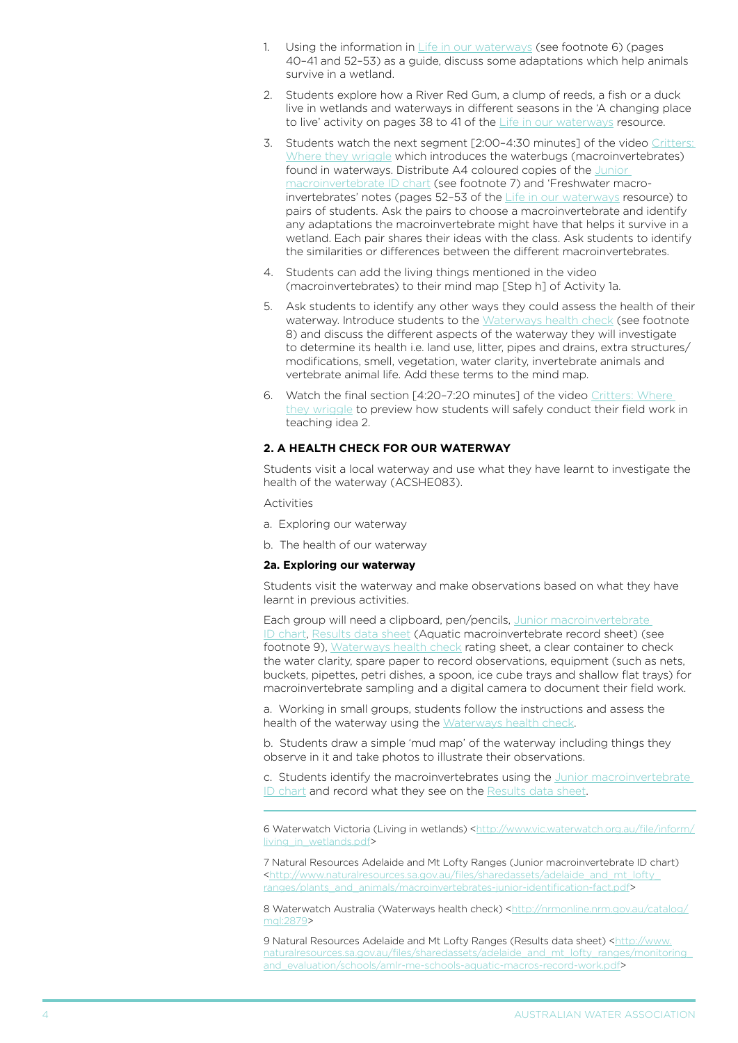- 1. Using the information in  $Life$  in our waterways (see footnote 6) (pages 40–41 and 52–53) as a guide, discuss some adaptations which help animals survive in a wetland.
- 2. Students explore how a River Red Gum, a clump of reeds, a fish or a duck live in wetlands and waterways in different seasons in the 'A changing place to live' activity on pages 38 to 41 of the [Life in our waterways](http://www.vic.waterwatch.org.au/file/inform/living_in_wetlands.pdf) resource.
- 3. Students watch the next segment [2:00–4:30 minutes] of the video [Critters:](http://www.teachertube.com/video/critters-where-they-wriggle-117005)  [Where they wriggle](http://www.teachertube.com/video/critters-where-they-wriggle-117005) which introduces the waterbugs (macroinvertebrates) found in waterways. Distribute A4 coloured copies of the [Junior](http://www.naturalresources.sa.gov.au/files/sharedassets/adelaide_and_mt_lofty_ranges/plants_and_animals/macroinvertebrates-junior-identification-fact.pdf)  [macroinvertebrate ID chart](http://www.naturalresources.sa.gov.au/files/sharedassets/adelaide_and_mt_lofty_ranges/plants_and_animals/macroinvertebrates-junior-identification-fact.pdf) (see footnote 7) and 'Freshwater macroinvertebrates' notes (pages 52–53 of the [Life in our waterways](http://www.vic.waterwatch.org.au/file/inform/living_in_wetlands.pdf) resource) to pairs of students. Ask the pairs to choose a macroinvertebrate and identify any adaptations the macroinvertebrate might have that helps it survive in a wetland. Each pair shares their ideas with the class. Ask students to identify the similarities or differences between the different macroinvertebrates.
- 4. Students can add the living things mentioned in the video (macroinvertebrates) to their mind map [Step h] of Activity 1a.
- 5. Ask students to identify any other ways they could assess the health of their waterway. Introduce students to the [Waterways health check](http://nrmonline.nrm.gov.au/catalog/mql:2879) (see footnote 8) and discuss the different aspects of the waterway they will investigate to determine its health i.e. land use, litter, pipes and drains, extra structures/ modifications, smell, vegetation, water clarity, invertebrate animals and vertebrate animal life. Add these terms to the mind map.
- 6. Watch the final section [4:20–7:20 minutes] of the video [Critters: Where](http://www.teachertube.com/video/critters-where-they-wriggle-117005)  [they wriggle](http://www.teachertube.com/video/critters-where-they-wriggle-117005) to preview how students will safely conduct their field work in teaching idea 2.

## **2. a health check for our waterway**

Students visit a local waterway and use what they have learnt to investigate the health of the waterway (ACSHE083).

Activities

- a. Exploring our waterway
- b. The health of our waterway

#### **2a. Exploring our waterway**

Students visit the waterway and make observations based on what they have learnt in previous activities.

Each group will need a clipboard, pen/pencils, Junior macroinvertebrate [ID chart](http://www.naturalresources.sa.gov.au/adelaidemtloftyranges/about-us/our-regions-progress/monitoring-and-evaluation/schools#macroinvertebrates), [Results data sheet](http://www.naturalresources.sa.gov.au/files/sharedassets/adelaide_and_mt_lofty_ranges/monitoring_and_evaluation/schools/amlr-me-schools-aquatic-macros-record-work.pdf) (Aquatic macroinvertebrate record sheet) (see footnote 9), [Waterways health check](http://nrmonline.nrm.gov.au/catalog/mql:2879) rating sheet, a clear container to check the water clarity, spare paper to record observations, equipment (such as nets, buckets, pipettes, petri dishes, a spoon, ice cube trays and shallow flat trays) for macroinvertebrate sampling and a digital camera to document their field work.

a. Working in small groups, students follow the instructions and assess the health of the waterway using the [Waterways health check](http://nrmonline.nrm.gov.au/catalog/mql:2879).

b. Students draw a simple 'mud map' of the waterway including things they observe in it and take photos to illustrate their observations.

c. Students identify the macroinvertebrates using the [Junior macroinvertebrate](http://www.naturalresources.sa.gov.au/files/sharedassets/adelaide_and_mt_lofty_ranges/plants_and_animals/macroinvertebrates-junior-identification-fact.pdf)  [ID chart](http://www.naturalresources.sa.gov.au/files/sharedassets/adelaide_and_mt_lofty_ranges/plants_and_animals/macroinvertebrates-junior-identification-fact.pdf) and record what they see on the [Results data sheet.](http://www.naturalresources.sa.gov.au/files/sharedassets/adelaide_and_mt_lofty_ranges/monitoring_and_evaluation/schools/amlr-me-schools-aquatic-macros-record-work.pdf)

6 Waterwatch Victoria (Living in wetlands) [<http://www.vic.waterwatch.org.au/file/inform/](http://www.vic.waterwatch.org.au/file/inform/living_in_wetlands.pdf) living in wetlands.pdf>

7 Natural Resources Adelaide and Mt Lofty Ranges (Junior macroinvertebrate ID chart) [<http://www.naturalresources.sa.gov.au/files/sharedassets/adelaide\\_and\\_mt\\_lofty\\_](http://www.naturalresources.sa.gov.au/files/sharedassets/adelaide_and_mt_lofty_ranges/plants_and_animals/macroinvertebrates-junior-identification-fact.pdf) [ranges/plants\\_and\\_animals/macroinvertebrates-junior-identification-fact.pdf](http://www.naturalresources.sa.gov.au/files/sharedassets/adelaide_and_mt_lofty_ranges/plants_and_animals/macroinvertebrates-junior-identification-fact.pdf)>

8 Waterwatch Australia (Waterways health check) <[http://nrmonline.nrm.gov.au/catalog/](http://nrmonline.nrm.gov.au/catalog/mql:2879) [mql:2879](http://nrmonline.nrm.gov.au/catalog/mql:2879)>

9 Natural Resources Adelaide and Mt Lofty Ranges (Results data sheet) [<http://www.](http://www.naturalresources.sa.gov.au/files/sharedassets/adelaide_and_mt_lofty_ranges/monitoring_and_evaluation/schools/amlr-me-schools-aquatic-macros-record-work.pdf) naturalresources.sa.gov.au/files/sharedassets/adelaide\_and\_mt\_lofty\_ranges/monitoring [and\\_evaluation/schools/amlr-me-schools-aquatic-macros-record-work.pdf](http://www.naturalresources.sa.gov.au/files/sharedassets/adelaide_and_mt_lofty_ranges/monitoring_and_evaluation/schools/amlr-me-schools-aquatic-macros-record-work.pdf)>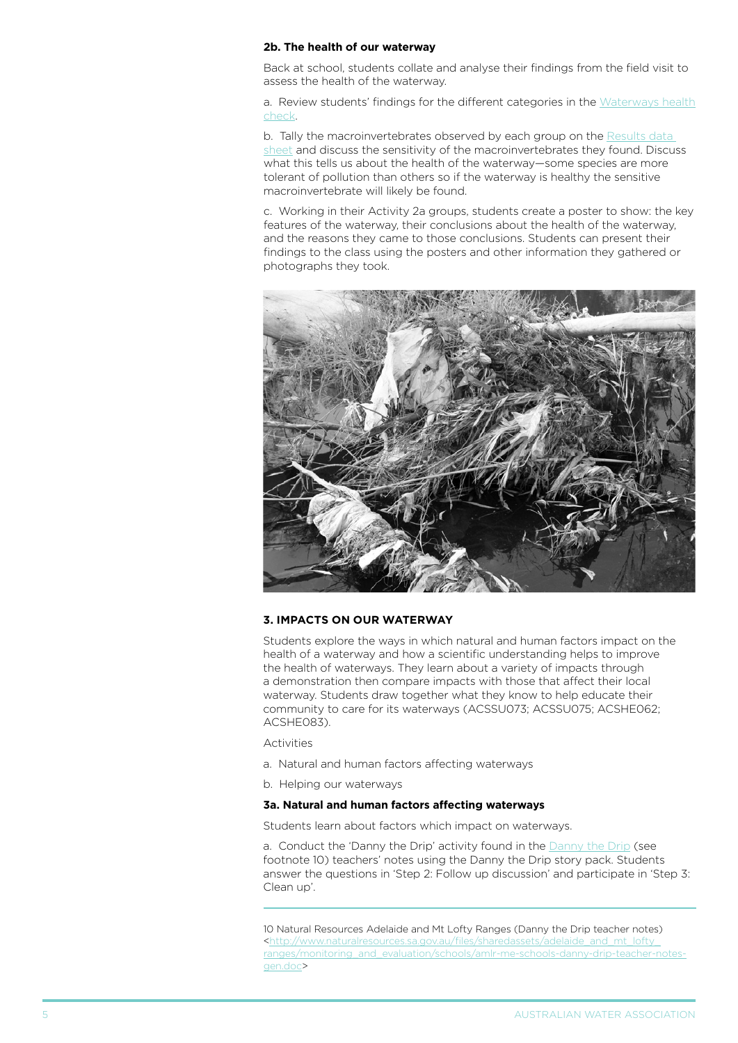### **2b. The health of our waterway**

Back at school, students collate and analyse their findings from the field visit to assess the health of the waterway.

a. Review students' findings for the different categories in the [Waterways health](http://nrmonline.nrm.gov.au/catalog/mql:2879) [check](http://nrmonline.nrm.gov.au/catalog/mql:2879).

b. Tally the macroinvertebrates observed by each group on the [Results data](http://www.naturalresources.sa.gov.au/files/sharedassets/adelaide_and_mt_lofty_ranges/monitoring_and_evaluation/schools/amlr-me-schools-aquatic-macros-record-work.pdf)  [sheet](http://www.naturalresources.sa.gov.au/files/sharedassets/adelaide_and_mt_lofty_ranges/monitoring_and_evaluation/schools/amlr-me-schools-aquatic-macros-record-work.pdf) and discuss the sensitivity of the macroinvertebrates they found. Discuss what this tells us about the health of the waterway—some species are more tolerant of pollution than others so if the waterway is healthy the sensitive macroinvertebrate will likely be found.

c. Working in their Activity 2a groups, students create a poster to show: the key features of the waterway, their conclusions about the health of the waterway, and the reasons they came to those conclusions. Students can present their findings to the class using the posters and other information they gathered or photographs they took.



### **3. impacts on our waterway**

Students explore the ways in which natural and human factors impact on the health of a waterway and how a scientific understanding helps to improve the health of waterways. They learn about a variety of impacts through a demonstration then compare impacts with those that affect their local waterway. Students draw together what they know to help educate their community to care for its waterways (ACSSU073; ACSSU075; ACSHE062; ACSHE083).

Activities

- a. Natural and human factors affecting waterways
- b. Helping our waterways

# **3a. Natural and human factors affecting waterways**

Students learn about factors which impact on waterways.

a. Conduct the 'Danny the Drip' activity found in the **Danny the Drip** (see footnote 10) teachers' notes using the Danny the Drip story pack. Students answer the questions in 'Step 2: Follow up discussion' and participate in 'Step 3: Clean up'.

10 Natural Resources Adelaide and Mt Lofty Ranges (Danny the Drip teacher notes) [<http://www.naturalresources.sa.gov.au/files/sharedassets/adelaide\\_and\\_mt\\_lofty\\_](http://www.naturalresources.sa.gov.au/files/sharedassets/adelaide_and_mt_lofty_ranges/monitoring_and_evaluation/schools/amlr-me-schools-danny-drip-teacher-notes-gen.doc) [ranges/monitoring\\_and\\_evaluation/schools/amlr-me-schools-danny-drip-teacher-notes](http://www.naturalresources.sa.gov.au/files/sharedassets/adelaide_and_mt_lofty_ranges/monitoring_and_evaluation/schools/amlr-me-schools-danny-drip-teacher-notes-gen.doc)[gen.doc>](http://www.naturalresources.sa.gov.au/files/sharedassets/adelaide_and_mt_lofty_ranges/monitoring_and_evaluation/schools/amlr-me-schools-danny-drip-teacher-notes-gen.doc)